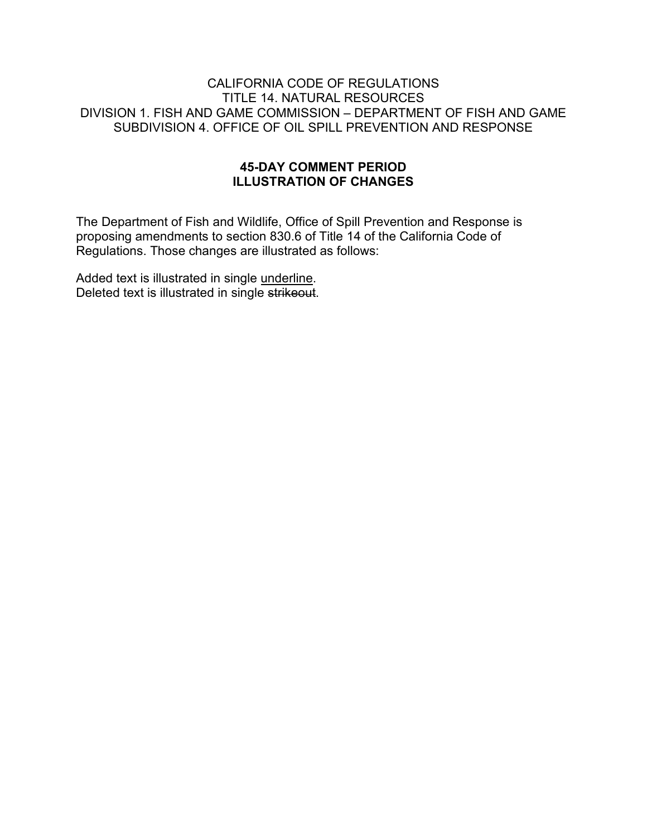### CALIFORNIA CODE OF REGULATIONS TITLE 14. NATURAL RESOURCES DIVISION 1. FISH AND GAME COMMISSION – DEPARTMENT OF FISH AND GAME SUBDIVISION 4. OFFICE OF OIL SPILL PREVENTION AND RESPONSE

### **45-DAY COMMENT PERIOD ILLUSTRATION OF CHANGES**

The Department of Fish and Wildlife, Office of Spill Prevention and Response is proposing amendments to section 830.6 of Title 14 of the California Code of Regulations. Those changes are illustrated as follows:

Added text is illustrated in single underline. Deleted text is illustrated in single strikeout.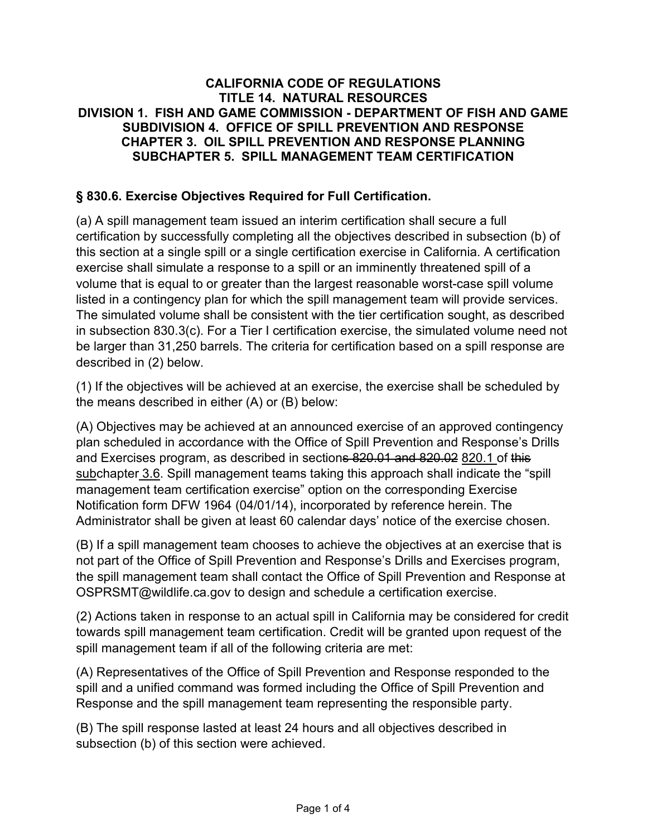## **CALIFORNIA CODE OF REGULATIONS TITLE 14. NATURAL RESOURCES DIVISION 1. FISH AND GAME COMMISSION - DEPARTMENT OF FISH AND GAME SUBDIVISION 4. OFFICE OF SPILL PREVENTION AND RESPONSE CHAPTER 3. OIL SPILL PREVENTION AND RESPONSE PLANNING SUBCHAPTER 5. SPILL MANAGEMENT TEAM CERTIFICATION**

## **§ 830.6. Exercise Objectives Required for Full Certification.**

(a) A spill management team issued an interim certification shall secure a full certification by successfully completing all the objectives described in subsection (b) of this section at a single spill or a single certification exercise in California. A certification exercise shall simulate a response to a spill or an imminently threatened spill of a volume that is equal to or greater than the largest reasonable worst-case spill volume listed in a contingency plan for which the spill management team will provide services. The simulated volume shall be consistent with the tier certification sought, as described in subsection 830.3(c). For a Tier I certification exercise, the simulated volume need not be larger than 31,250 barrels. The criteria for certification based on a spill response are described in (2) below.

(1) If the objectives will be achieved at an exercise, the exercise shall be scheduled by the means described in either (A) or (B) below:

(A) Objectives may be achieved at an announced exercise of an approved contingency plan scheduled in accordance with the Office of Spill Prevention and Response's Drills and Exercises program, as described in sections 820.01 and 820.02 820.1 of this subchapter 3.6. Spill management teams taking this approach shall indicate the "spill management team certification exercise" option on the corresponding Exercise Notification form DFW 1964 (04/01/14), incorporated by reference herein. The Administrator shall be given at least 60 calendar days' notice of the exercise chosen.

(B) If a spill management team chooses to achieve the objectives at an exercise that is not part of the Office of Spill Prevention and Response's Drills and Exercises program, the spill management team shall contact the Office of Spill Prevention and Response at OSPRSMT@wildlife.ca.gov to design and schedule a certification exercise.

(2) Actions taken in response to an actual spill in California may be considered for credit towards spill management team certification. Credit will be granted upon request of the spill management team if all of the following criteria are met:

(A) Representatives of the Office of Spill Prevention and Response responded to the spill and a unified command was formed including the Office of Spill Prevention and Response and the spill management team representing the responsible party.

(B) The spill response lasted at least 24 hours and all objectives described in subsection (b) of this section were achieved.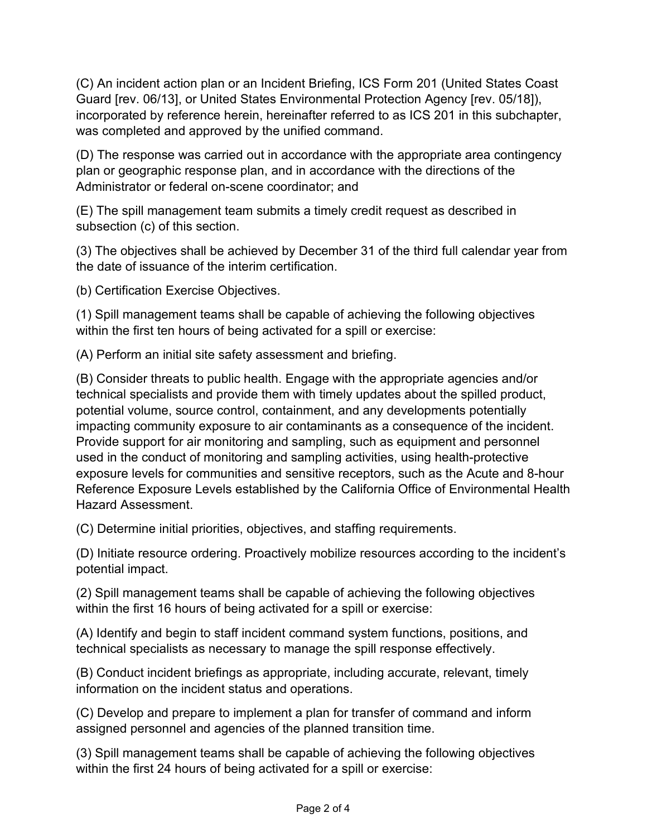(C) An incident action plan or an Incident Briefing, ICS Form 201 (United States Coast Guard [rev. 06/13], or United States Environmental Protection Agency [rev. 05/18]), incorporated by reference herein, hereinafter referred to as ICS 201 in this subchapter, was completed and approved by the unified command.

(D) The response was carried out in accordance with the appropriate area contingency plan or geographic response plan, and in accordance with the directions of the Administrator or federal on-scene coordinator; and

(E) The spill management team submits a timely credit request as described in subsection (c) of this section.

(3) The objectives shall be achieved by December 31 of the third full calendar year from the date of issuance of the interim certification.

(b) Certification Exercise Objectives.

(1) Spill management teams shall be capable of achieving the following objectives within the first ten hours of being activated for a spill or exercise:

(A) Perform an initial site safety assessment and briefing.

(B) Consider threats to public health. Engage with the appropriate agencies and/or technical specialists and provide them with timely updates about the spilled product, potential volume, source control, containment, and any developments potentially impacting community exposure to air contaminants as a consequence of the incident. Provide support for air monitoring and sampling, such as equipment and personnel used in the conduct of monitoring and sampling activities, using health-protective exposure levels for communities and sensitive receptors, such as the Acute and 8-hour Reference Exposure Levels established by the California Office of Environmental Health Hazard Assessment.

(C) Determine initial priorities, objectives, and staffing requirements.

(D) Initiate resource ordering. Proactively mobilize resources according to the incident's potential impact.

(2) Spill management teams shall be capable of achieving the following objectives within the first 16 hours of being activated for a spill or exercise:

(A) Identify and begin to staff incident command system functions, positions, and technical specialists as necessary to manage the spill response effectively.

(B) Conduct incident briefings as appropriate, including accurate, relevant, timely information on the incident status and operations.

(C) Develop and prepare to implement a plan for transfer of command and inform assigned personnel and agencies of the planned transition time.

(3) Spill management teams shall be capable of achieving the following objectives within the first 24 hours of being activated for a spill or exercise: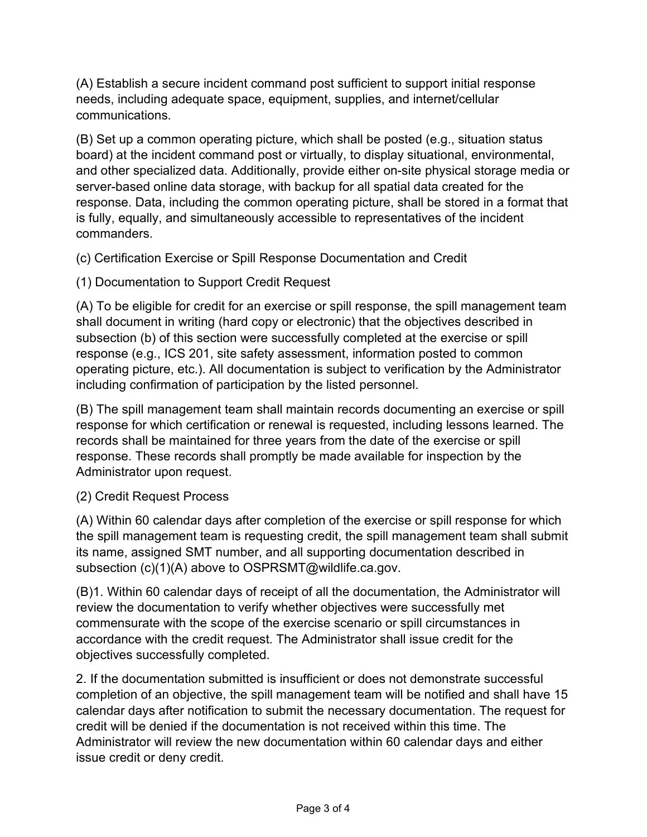(A) Establish a secure incident command post sufficient to support initial response needs, including adequate space, equipment, supplies, and internet/cellular communications.

(B) Set up a common operating picture, which shall be posted (e.g., situation status board) at the incident command post or virtually, to display situational, environmental, and other specialized data. Additionally, provide either on-site physical storage media or server-based online data storage, with backup for all spatial data created for the response. Data, including the common operating picture, shall be stored in a format that is fully, equally, and simultaneously accessible to representatives of the incident commanders.

(c) Certification Exercise or Spill Response Documentation and Credit

(1) Documentation to Support Credit Request

(A) To be eligible for credit for an exercise or spill response, the spill management team shall document in writing (hard copy or electronic) that the objectives described in subsection (b) of this section were successfully completed at the exercise or spill response (e.g., ICS 201, site safety assessment, information posted to common operating picture, etc.). All documentation is subject to verification by the Administrator including confirmation of participation by the listed personnel.

(B) The spill management team shall maintain records documenting an exercise or spill response for which certification or renewal is requested, including lessons learned. The records shall be maintained for three years from the date of the exercise or spill response. These records shall promptly be made available for inspection by the Administrator upon request.

# (2) Credit Request Process

(A) Within 60 calendar days after completion of the exercise or spill response for which the spill management team is requesting credit, the spill management team shall submit its name, assigned SMT number, and all supporting documentation described in subsection (c)(1)(A) above to OSPRSMT@wildlife.ca.gov.

(B)1. Within 60 calendar days of receipt of all the documentation, the Administrator will review the documentation to verify whether objectives were successfully met commensurate with the scope of the exercise scenario or spill circumstances in accordance with the credit request. The Administrator shall issue credit for the objectives successfully completed.

2. If the documentation submitted is insufficient or does not demonstrate successful completion of an objective, the spill management team will be notified and shall have 15 calendar days after notification to submit the necessary documentation. The request for credit will be denied if the documentation is not received within this time. The Administrator will review the new documentation within 60 calendar days and either issue credit or deny credit.